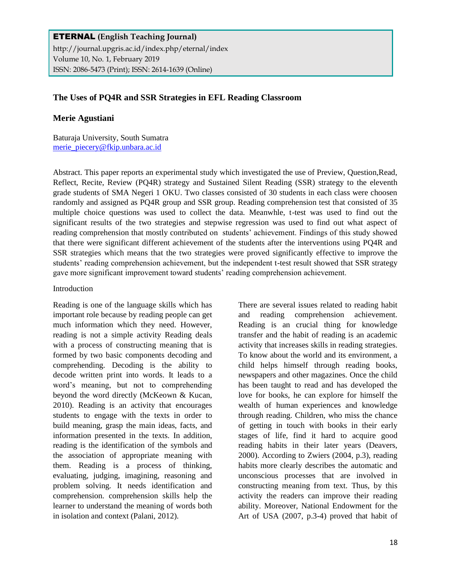ETERNAL **(English Teaching Journal)** http://journal.upgris.ac.id/index.php/eternal/index Volume 10, No. 1, February 2019 ISSN: 2086-5473 (Print); ISSN: 2614-1639 (Online)

## **The Uses of PQ4R and SSR Strategies in EFL Reading Classroom**

#### **Merie Agustiani**

Baturaja University, South Sumatra [merie\\_piecery@fkip.unbara.ac.id](mailto:merie_piecery@fkip.unbara.ac.id)

Abstract. This paper reports an experimental study which investigated the use of Preview, Question,Read, Reflect, Recite, Review (PQ4R) strategy and Sustained Silent Reading (SSR) strategy to the eleventh grade students of SMA Negeri 1 OKU. Two classes consisted of 30 students in each class were choosen randomly and assigned as PQ4R group and SSR group. Reading comprehension test that consisted of 35 multiple choice questions was used to collect the data. Meanwhle, t-test was used to find out the significant results of the two strategies and stepwise regression was used to find out what aspect of reading comprehension that mostly contributed on students' achievement. Findings of this study showed that there were significant different achievement of the students after the interventions using PQ4R and SSR strategies which means that the two strategies were proved significantly effective to improve the students' reading comprehension achievement, but the independent t-test result showed that SSR strategy gave more significant improvement toward students' reading comprehension achievement.

#### Introduction

Reading is one of the language skills which has important role because by reading people can get much information which they need. However, reading is not a simple activity Reading deals with a process of constructing meaning that is formed by two basic components decoding and comprehending. Decoding is the ability to decode written print into words. It leads to a word's meaning, but not to comprehending beyond the word directly (McKeown & Kucan, 2010). Reading is an activity that encourages students to engage with the texts in order to build meaning, grasp the main ideas, facts, and information presented in the texts. In addition, reading is the identification of the symbols and the association of appropriate meaning with them. Reading is a process of thinking, evaluating, judging, imagining, reasoning and problem solving. It needs identification and comprehension. comprehension skills help the learner to understand the meaning of words both in isolation and context (Palani, 2012).

There are several issues related to reading habit and reading comprehension achievement. Reading is an crucial thing for knowledge transfer and the habit of reading is an academic activity that increases skills in reading strategies. To know about the world and its environment, a child helps himself through reading books, newspapers and other magazines. Once the child has been taught to read and has developed the love for books, he can explore for himself the wealth of human experiences and knowledge through reading. Children, who miss the chance of getting in touch with books in their early stages of life, find it hard to acquire good reading habits in their later years (Deavers, 2000). According to Zwiers (2004, p.3), reading habits more clearly describes the automatic and unconscious processes that are involved in constructing meaning from text. Thus, by this activity the readers can improve their reading ability. Moreover, National Endowment for the Art of USA (2007, p.3-4) proved that habit of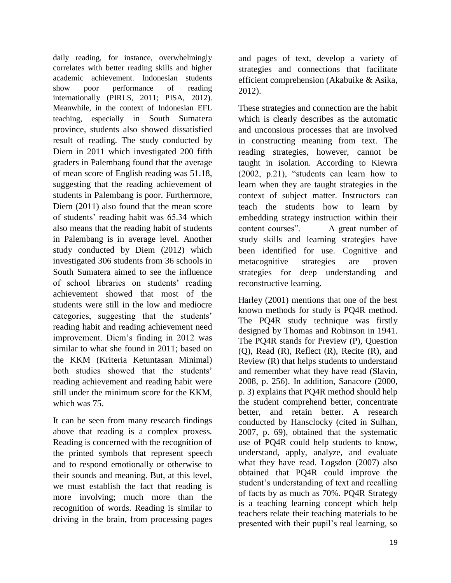daily reading, for instance, overwhelmingly correlates with better reading skills and higher academic achievement. Indonesian students show poor performance of reading internationally (PIRLS, 2011; PISA, 2012). Meanwhile, in the context of Indonesian EFL teaching, especially in South Sumatera province, students also showed dissatisfied result of reading. The study conducted by Diem in 2011 which investigated 200 fifth graders in Palembang found that the average of mean score of English reading was 51.18, suggesting that the reading achievement of students in Palembang is poor. Furthermore, Diem (2011) also found that the mean score of students' reading habit was 65.34 which also means that the reading habit of students in Palembang is in average level. Another study conducted by Diem (2012) which investigated 306 students from 36 schools in South Sumatera aimed to see the influence of school libraries on students' reading achievement showed that most of the students were still in the low and mediocre categories, suggesting that the students' reading habit and reading achievement need improvement. Diem's finding in 2012 was similar to what she found in 2011; based on the KKM (Kriteria Ketuntasan Minimal) both studies showed that the students' reading achievement and reading habit were still under the minimum score for the KKM, which was 75.

It can be seen from many research findings above that reading is a complex proxess. Reading is concerned with the recognition of the printed symbols that represent speech and to respond emotionally or otherwise to their sounds and meaning. But, at this level, we must establish the fact that reading is more involving; much more than the recognition of words. Reading is similar to driving in the brain, from processing pages

and pages of text, develop a variety of strategies and connections that facilitate efficient comprehension (Akabuike & Asika, 2012).

These strategies and connection are the habit which is clearly describes as the automatic and unconsious processes that are involved in constructing meaning from text. The reading strategies, however, cannot be taught in isolation. According to Kiewra (2002, p.21), "students can learn how to learn when they are taught strategies in the context of subject matter. Instructors can teach the students how to learn by embedding strategy instruction within their content courses". A great number of study skills and learning strategies have been identified for use. Cognitive and metacognitive strategies are proven strategies for deep understanding and reconstructive learning.

Harley (2001) mentions that one of the best known methods for study is PQ4R method. The PQ4R study technique was firstly designed by Thomas and Robinson in 1941. The PQ4R stands for Preview (P), Question (Q), Read (R), Reflect (R), Recite (R), and Review (R) that helps students to understand and remember what they have read (Slavin, 2008, p. 256). In addition, Sanacore (2000, p. 3) explains that PQ4R method should help the student comprehend better, concentrate better, and retain better. A research conducted by Hansclocky (cited in Sulhan, 2007, p. 69), obtained that the systematic use of PQ4R could help students to know, understand, apply, analyze, and evaluate what they have read. Logsdon (2007) also obtained that PQ4R could improve the student's understanding of text and recalling of facts by as much as 70%. PQ4R Strategy is a teaching learning concept which help teachers relate their teaching materials to be presented with their pupil's real learning, so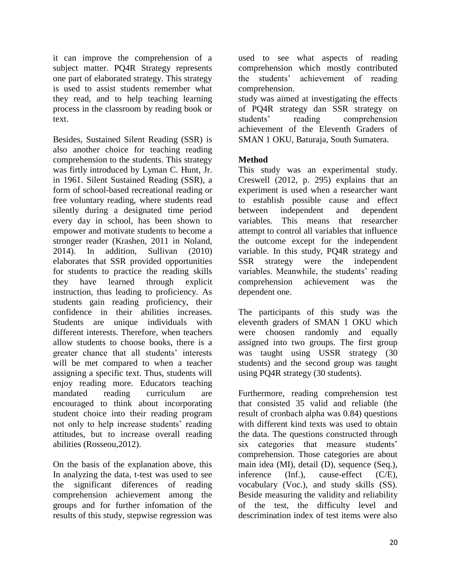it can improve the comprehension of a subject matter. PQ4R Strategy represents one part of elaborated strategy. This strategy is used to assist students remember what they read, and to help teaching learning process in the classroom by reading book or text.

Besides, Sustained Silent Reading (SSR) is also another choice for teaching reading comprehension to the students. This strategy was firtly introduced by Lyman C. Hunt, Jr. in 1961. Silent Sustained Reading (SSR), a form of school-based recreational reading or free voluntary reading, where students read silently during a designated time period every day in school, has been shown to empower and motivate students to become a stronger reader (Krashen, 2011 in Noland, 2014). In addition, Sullivan (2010) elaborates that SSR provided opportunities for students to practice the reading skills they have learned through explicit instruction, thus leading to proficiency. As students gain reading proficiency, their confidence in their abilities increases. Students are unique individuals with different interests. Therefore, when teachers allow students to choose books, there is a greater chance that all students' interests will be met compared to when a teacher assigning a specific text. Thus, students will enjoy reading more. Educators teaching mandated reading curriculum are encouraged to think about incorporating student choice into their reading program not only to help increase students' reading attitudes, but to increase overall reading abilities (Rosseou,2012).

On the basis of the explanation above, this In analyzing the data, t-test was used to see the significant diferences of reading comprehension achievement among the groups and for further infomation of the results of this study, stepwise regression was

used to see what aspects of reading comprehension which mostly contributed the students' achievement of reading comprehension.

study was aimed at investigating the effects of PQ4R strategy dan SSR strategy on students' reading comprehension achievement of the Eleventh Graders of SMAN 1 OKU, Baturaja, South Sumatera.

## **Method**

This study was an experimental study. Creswell (2012, p. 295) explains that an experiment is used when a researcher want to establish possible cause and effect between independent and dependent variables. This means that researcher attempt to control all variables that influence the outcome except for the independent variable. In this study, PQ4R strategy and SSR strategy were the independent variables. Meanwhile, the students' reading comprehension achievement was the dependent one.

The participants of this study was the eleventh graders of SMAN 1 OKU which were choosen randomly and equally assigned into two groups. The first group was taught using USSR strategy (30 students) and the second group was taught using PQ4R strategy (30 students).

Furthermore, reading comprehension test that consisted 35 valid and reliable (the result of cronbach alpha was 0.84) questions with different kind texts was used to obtain the data. The questions constructed through six categories that measure students' comprehension. Those categories are about main idea (MI), detail (D), sequence (Seq.), inference (Inf.), cause-effect (C/E), vocabulary (Voc.), and study skills (SS). Beside measuring the validity and reliability of the test, the difficulty level and descrimination index of test items were also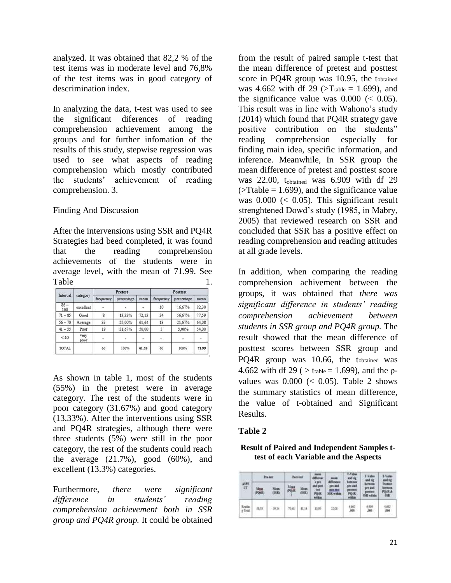analyzed. It was obtained that 82,2 % of the test items was in moderate level and 76,8% of the test items was in good category of descrimination index.

In analyzing the data, t-test was used to see the significant diferences of reading comprehension achievement among the groups and for further infomation of the results of this study, stepwise regression was used to see what aspects of reading comprehension which mostly contributed the students' achievement of reading comprehension. 3.

## Finding And Discussion

After the intervensions using SSR and PQ4R Strategies had beed completed, it was found that the reading comprehension achievements of the students were in average level, with the mean of 71.99. See Table 1.

| Interval      | category     |                    | Pretest                  |                   | <b>Posttest</b> |            |        |  |
|---------------|--------------|--------------------|--------------------------|-------------------|-----------------|------------|--------|--|
|               |              | frequency          | percentage               | mean              | frequency       | percentage | mean   |  |
| $86 -$<br>100 | excellent    |                    | $\overline{\phantom{a}}$ | ÷.                | 10              | 16,67%     | 92.30  |  |
| $71 - 85$     | Good         | $\mathbf{\hat{s}}$ | 13.33%                   | 72,13             | 34              | 56.67%     | 77,59  |  |
| $56 - 70$     | Average      | 33                 | 55,00%                   | 61.64             | 13              | 21,67%     | 64,08  |  |
| $41 - 55$     | Poor         | 19                 | 31.67%                   | 50.00             |                 | 5.00%      | 54,00  |  |
| <40           | very<br>poor | ĉ.                 | ÷                        | ٠<br>۰.<br>$\sim$ |                 |            | $\sim$ |  |
| TOTAL         |              | 60                 | 100%                     | 61.25             | 60              | 100%       | 71.99  |  |

As shown in table 1, most of the students (55%) in the pretest were in average category. The rest of the students were in poor category (31.67%) and good category (13.33%). After the interventions using SSR and PQ4R strategies, although there were three students (5%) were still in the poor category, the rest of the students could reach the average  $(21.7\%)$ , good  $(60\%)$ , and excellent (13.3%) categories.

Furthermore, *there were significant difference in students' reading comprehension achievement both in SSR group and PQ4R group.* It could be obtained

from the result of paired sample t-test that the mean difference of pretest and posttest score in PQ4R group was 10.95, the tobtained was 4.662 with df 29 ( $\Sigma$ Ttable = 1.699), and the significance value was  $0.000 \leq 0.05$ ). This result was in line with Wahono's study (2014) which found that PQ4R strategy gave positive contribution on the students" reading comprehension especially for finding main idea, specific information, and inference. Meanwhile, In SSR group the mean difference of pretest and posttest score was 22.00, tobtained was 6.909 with df 29  $($ >Ttable = 1.699), and the significance value was  $0.000 \leq 0.05$ ). This significant result strenghtened Dowd's study (1985, in Mabry, 2005) that reviewed research on SSR and concluded that SSR has a positive effect on reading comprehension and reading attitudes at all grade levels.

In addition, when comparing the reading comprehension achivement between the groups, it was obtained that *there was significant difference in students' reading comprehension achievement between students in SSR group and PQ4R group.* The result showed that the mean difference of posttest scores between SSR group and PQ4R group was 10.66, the tobtained was 4.662 with df 29 ( $>$  t<sub>table</sub> = 1.699), and the  $\rho$ values was  $0.000 \leq 0.05$ ). Table 2 shows the summary statistics of mean difference, the value of t-obtained and Significant Results.

## **Table 2**

**Result of Paired and Independent Samples ttest of each Variable and the Aspects**

| <b>ASPE</b><br>CT | Present.      |                                     | Post-test    |               | <b>BUASE</b><br><b>difference</b><br>a pee | 8112<br>difference                 | T-Value<br>and sig<br>bernnes        | T-Value<br>દમાં બે                                      | T-Value<br>and sig                |
|-------------------|---------------|-------------------------------------|--------------|---------------|--------------------------------------------|------------------------------------|--------------------------------------|---------------------------------------------------------|-----------------------------------|
|                   | Mass<br>POIR) | Misan<br>(55K)<br><b>CONTRACTOR</b> | Mean<br>PO-R | Maan<br>(SSR) | and past<br>m<br>POGE<br>nithin            | pes and<br>pour tant<br>SSR within | pre and<br>peither<br>PQ4R<br>nishin | lefitekk<br>pre aut<br><b>GALES</b><br><b>SH</b> within | Pester<br>berguss<br>POIR A<br>外科 |
| Readin<br>g Tetal | 绕针            | $-99,14$                            | 简略           | 81,14         | $-11$<br>mai.                              | 12,00                              | 4,862<br>m                           | 6,909<br>,000                                           | 4,662<br>,000                     |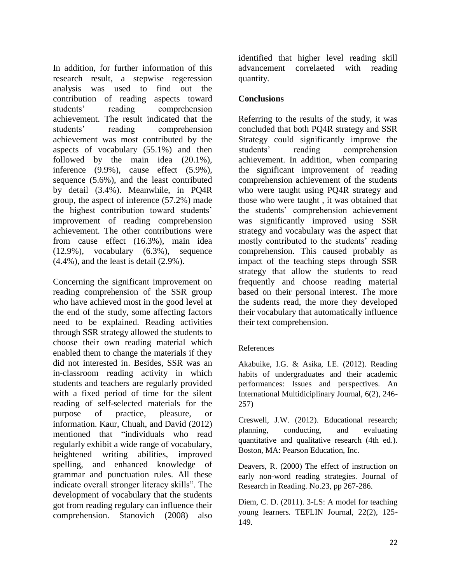In addition, for further information of this research result, a stepwise regeression analysis was used to find out the contribution of reading aspects toward students' reading comprehension achievement. The result indicated that the students' reading comprehension achievement was most contributed by the aspects of vocabulary (55.1%) and then followed by the main idea (20.1%), inference (9.9%), cause effect (5.9%), sequence (5.6%), and the least contributed by detail (3.4%). Meanwhile, in PQ4R group, the aspect of inference (57.2%) made the highest contribution toward students' improvement of reading comprehension achievement. The other contributions were from cause effect (16.3%), main idea (12.9%), vocabulary (6.3%), sequence (4.4%), and the least is detail (2.9%).

Concerning the significant improvement on reading comprehension of the SSR group who have achieved most in the good level at the end of the study, some affecting factors need to be explained. Reading activities through SSR strategy allowed the students to choose their own reading material which enabled them to change the materials if they did not interested in. Besides, SSR was an in-classroom reading activity in which students and teachers are regularly provided with a fixed period of time for the silent reading of self-selected materials for the purpose of practice, pleasure, or information. Kaur, Chuah, and David (2012) mentioned that "individuals who read regularly exhibit a wide range of vocabulary, heightened writing abilities, improved spelling, and enhanced knowledge of grammar and punctuation rules. All these indicate overall stronger literacy skills". The development of vocabulary that the students got from reading regulary can influence their comprehension. Stanovich (2008) also

identified that higher level reading skill advancement correlaeted with reading quantity.

# **Conclusions**

Referring to the results of the study, it was concluded that both PQ4R strategy and SSR Strategy could significantly improve the students' reading comprehension achievement. In addition, when comparing the significant improvement of reading comprehension achievement of the students who were taught using PQ4R strategy and those who were taught , it was obtained that the students' comprehension achievement was significantly improved using SSR strategy and vocabulary was the aspect that mostly contributed to the students' reading comprehension. This caused probably as impact of the teaching steps through SSR strategy that allow the students to read frequently and choose reading material based on their personal interest. The more the sudents read, the more they developed their vocabulary that automatically influence their text comprehension.

## References

Akabuike, I.G. & Asika, I.E. (2012). Reading habits of undergraduates and their academic performances: Issues and perspectives. An International Multidiciplinary Journal, 6(2), 246- 257)

Creswell, J.W. (2012). Educational research; planning, conducting, and evaluating quantitative and qualitative research (4th ed.). Boston, MA: Pearson Education, Inc.

Deavers, R. (2000) The effect of instruction on early non-word reading strategies. Journal of Research in Reading. No.23, pp 267-286.

Diem, C. D. (2011). 3-LS: A model for teaching young learners. TEFLIN Journal, 22(2), 125- 149.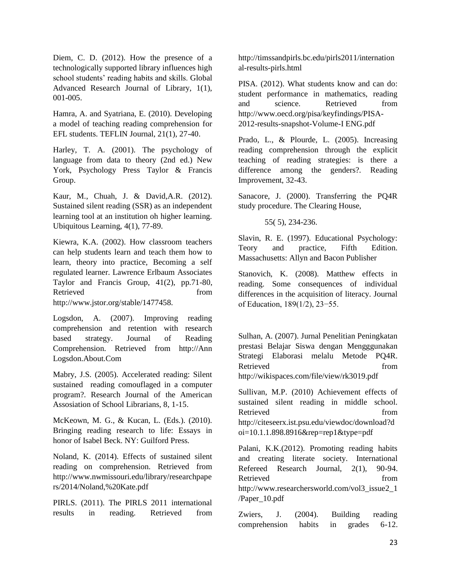Diem, C. D. (2012). How the presence of a technologically supported library influences high school students' reading habits and skills. Global Advanced Research Journal of Library, 1(1), 001-005.

Hamra, A. and Syatriana, E. (2010). Developing a model of teaching reading comprehension for EFL students. TEFLIN Journal, 21(1), 27-40.

Harley, T. A. (2001). The psychology of language from data to theory (2nd ed.) New York, Psychology Press Taylor & Francis Group.

Kaur, M., Chuah, J. & David,A.R. (2012). Sustained silent reading (SSR) as an independent learning tool at an institution oh higher learning. Ubiquitous Learning, 4(1), 77-89.

Kiewra, K.A. (2002). How classroom teachers can help students learn and teach them how to learn, theory into practice, Becoming a self regulated learner. Lawrence Erlbaum Associates Taylor and Francis Group, 41(2), pp.71-80, Retrieved from  $\sim$ 

http://www.jstor.org/stable/1477458.

Logsdon, A. (2007). Improving reading comprehension and retention with research based strategy. Journal of Reading Comprehension. Retrieved from http://Ann Logsdon.About.Com

Mabry, J.S. (2005). Accelerated reading: Silent sustained reading comouflaged in a computer program?. Research Journal of the American Assosiation of School Librarians, 8, 1-15.

McKeown, M. G., & Kucan, L. (Eds.). (2010). Bringing reading research to life: Essays in honor of Isabel Beck. NY: Guilford Press.

Noland, K. (2014). Effects of sustained silent reading on comprehension. Retrieved from http://www.nwmissouri.edu/library/researchpape rs/2014/Noland,%20Kate.pdf

PIRLS. (2011). The PIRLS 2011 international results in reading. Retrieved from http://timssandpirls.bc.edu/pirls2011/internation al-results-pirls.html

PISA. (2012). What students know and can do: student performance in mathematics, reading and science. Retrieved from http://www.oecd.org/pisa/keyfindings/PISA-2012-results-snapshot-Volume-I ENG.pdf

Prado, L., & Plourde, L. (2005). Increasing reading comprehension through the explicit teaching of reading strategies: is there a difference among the genders?. Reading Improvement, 32-43.

Sanacore, J. (2000). Transferring the PQ4R study procedure. The Clearing House,

55( 5), 234-236.

Slavin, R. E. (1997). Educational Psychology: Teory and practice, Fifth Edition. Massachusetts: Allyn and Bacon Publisher

Stanovich, K. (2008). Matthew effects in reading. Some consequences of individual differences in the acquisition of literacy. Journal of Education, 189(1/2), 23−55.

Sulhan, A. (2007). Jurnal Penelitian Peningkatan prestasi Belajar Siswa dengan Mengggunakan Strategi Elaborasi melalu Metode PQ4R. Retrieved from  $\sim$ http://wikispaces.com/file/view/rk3019.pdf

Sullivan, M.P. (2010) Achievement effects of sustained silent reading in middle school. Retrieved from  $\sim$ http://citeseerx.ist.psu.edu/viewdoc/download?d oi=10.1.1.898.8916&rep=rep1&type=pdf

Palani, K.K.(2012). Promoting reading habits and creating literate society. International Refereed Research Journal, 2(1), 90-94. Retrieved from  $\sim$ http://www.researchersworld.com/vol3\_issue2\_1 /Paper\_10.pdf

Zwiers, J. (2004). Building reading comprehension habits in grades 6-12.